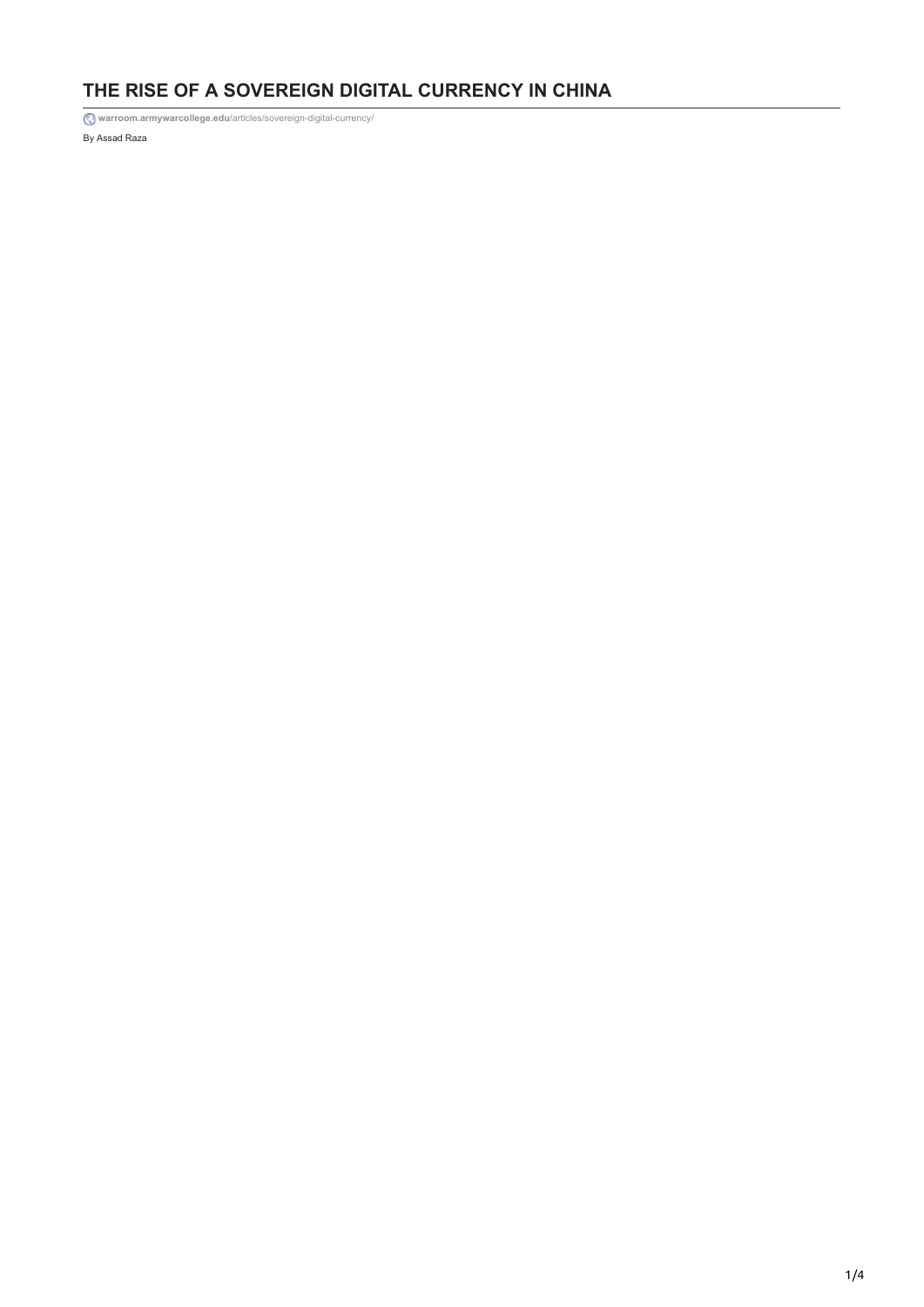## **THE RISE OF A SOVEREIGN DIGITAL CURRENCY IN CHINA**

By Assad Raza **warroom.armywarcollege.edu**[/articles/sovereign-digital-currency/](https://warroom.armywarcollege.edu/articles/sovereign-digital-currency/)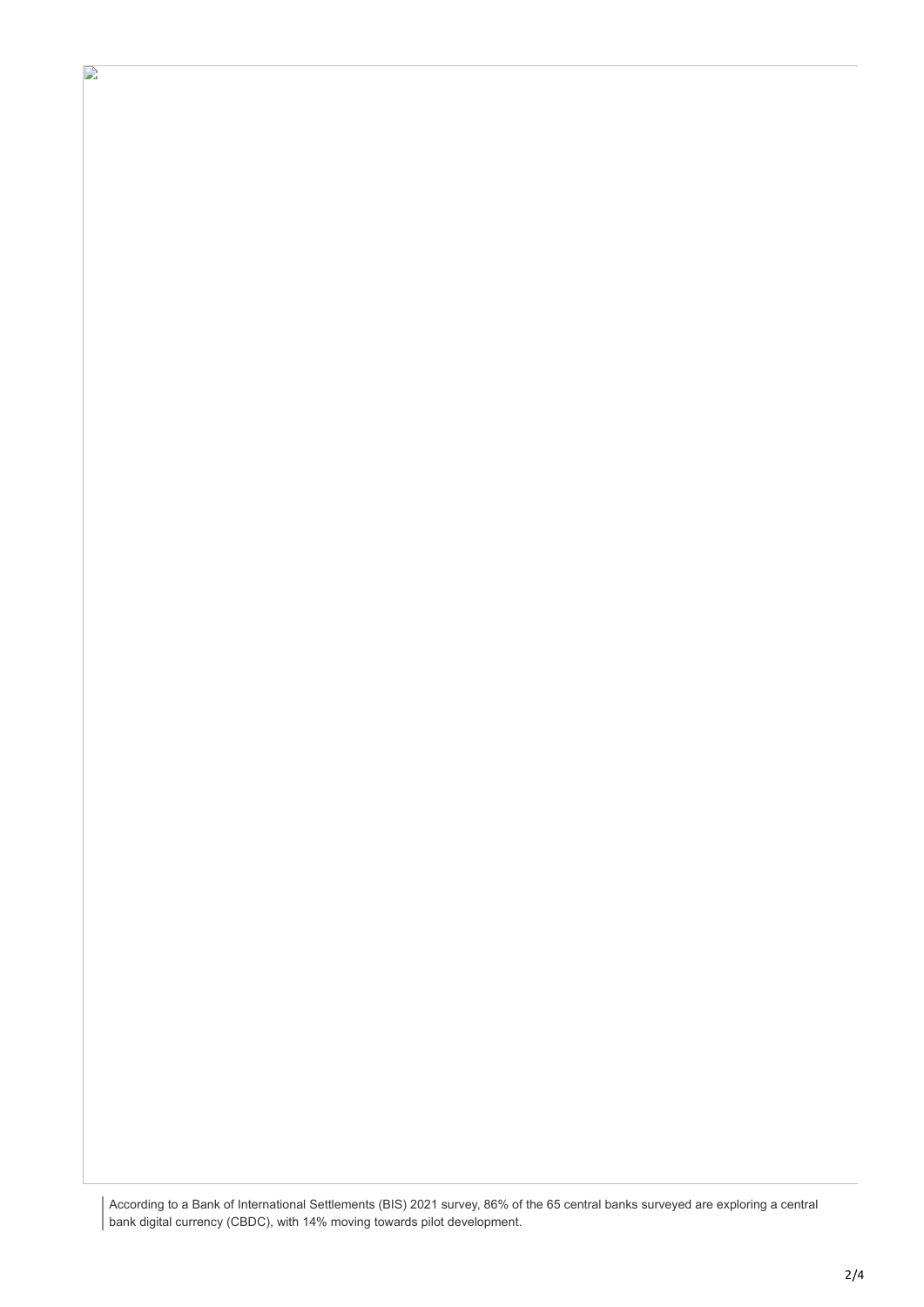According to a Bank of International Settlements (BIS) 2021 survey, 86% of the 65 central banks surveyed are exploring a central bank digital currency (CBDC), with 14% moving towards pilot development.

 $\mathbf{L}$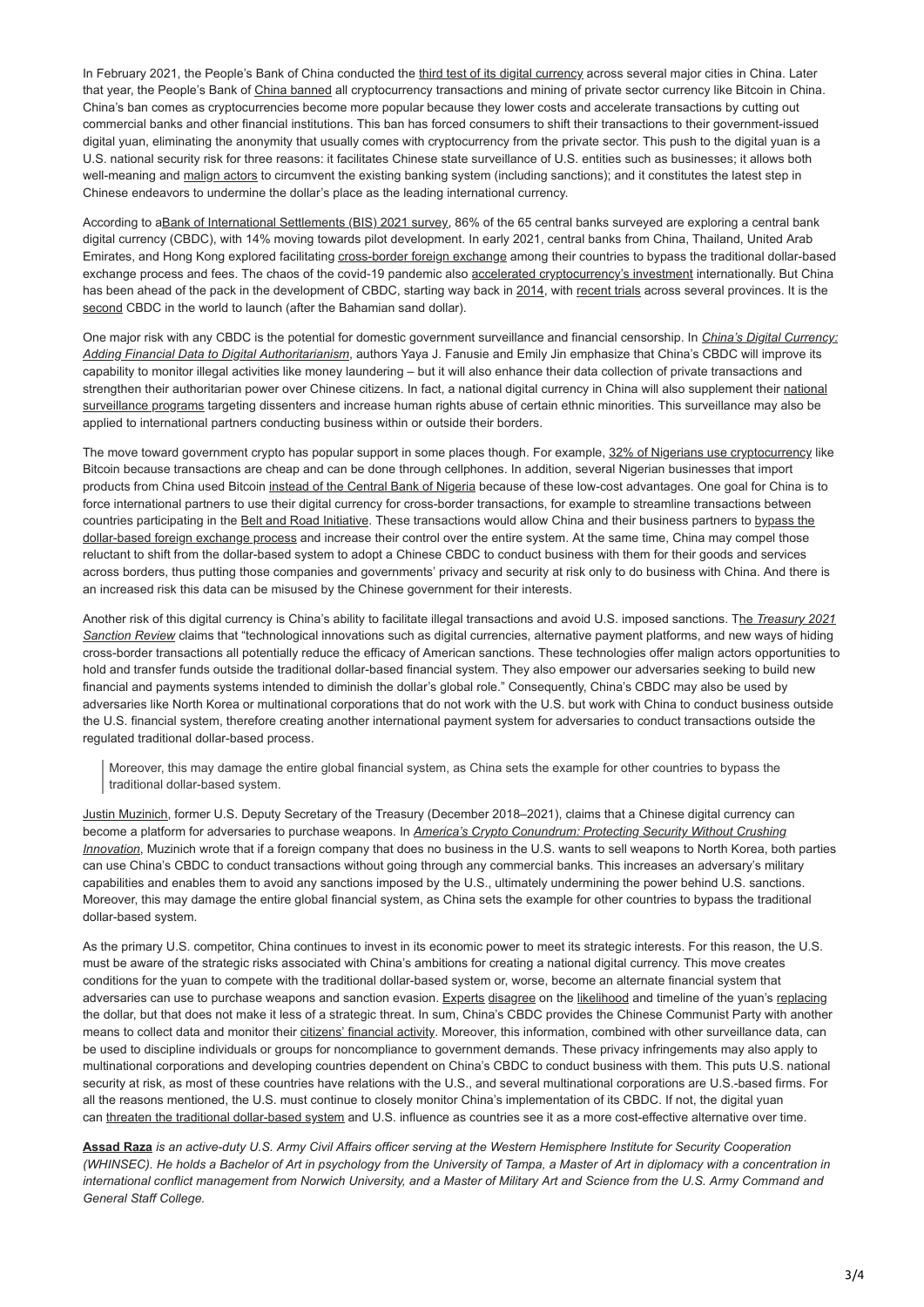In February 2021, the People's Bank of China conducted the [third test of its digital currency](https://www.cnbc.com/2021/02/08/china-to-hand-out-1point5-million-in-lunar-new-year-digital-currency-test.html) across several major cities in China. Later that year, the People's Bank of [China banned](https://www.bbc.com/news/technology-58678907) all cryptocurrency transactions and mining of private sector currency like Bitcoin in China. China's ban comes as cryptocurrencies become more popular because they lower costs and accelerate transactions by cutting out commercial banks and other financial institutions. This ban has forced consumers to shift their transactions to their government-issued digital yuan, eliminating the anonymity that usually comes with cryptocurrency from the private sector. This push to the digital yuan is a U.S. national security risk for three reasons: it facilitates Chinese state surveillance of U.S. entities such as businesses; it allows both well-meaning and [malign actors](https://www.foreignaffairs.com/articles/united-states/americas-crypto-currency-conundrum) to circumvent the existing banking system (including sanctions); and it constitutes the latest step in Chinese endeavors to undermine the dollar's place as the leading international currency.

According to a[Bank of International Settlements \(BIS\) 2021 survey,](https://www.bis.org/publ/bppdf/bispap114.pdf) 86% of the 65 central banks surveyed are exploring a central bank digital currency (CBDC), with 14% moving towards pilot development. In early 2021, central banks from China, Thailand, United Arab Emirates, and Hong Kong explored facilitating [cross-border foreign exchange](https://www.cnbc.com/2021/02/24/chinas-pboc-joins-cross-border-digital-currency-project.html) among their countries to bypass the traditional dollar-based exchange process and fees. The chaos of the covid-19 pandemic also [accelerated cryptocurrency's investment](https://www.sciencedirect.com/science/article/pii/S1544612321001306) internationally. But China has been ahead of the pack in the development of CBDC, starting way back in [2014,](https://www.cnbc.com/2021/03/05/chinas-digital-yuan-what-is-it-and-how-does-it-work.html) with [recent trials](https://www.cnbc.com/2021/02/08/china-to-hand-out-1point5-million-in-lunar-new-year-digital-currency-test.html) across several provinces. It is the [second](https://research.aimultiple.com/digital-yuan/) CBDC in the world to launch (after the Bahamian sand dollar).

[One major risk with any CBDC is the potential for domestic government surveillance and financial censorship. In](https://s3.us-east-1.amazonaws.com/files.cnas.org/documents/CNAS-Report-Chinas-Digital-Currency-Jan-2021-final.pdf?mtime=20210125173901&focal=none) *China's Digital Currency: Adding Financial Data to Digital Authoritarianism*, authors Yaya J. Fanusie and Emily Jin emphasize that China's CBDC will improve its capability to monitor illegal activities like money laundering – but it will also enhance their data collection of private transactions and [strengthen their authoritarian power over Chinese citizens. In fact, a national digital currency in China will also supplement their national](https://cset.georgetown.edu/wp-content/uploads/CSET-Designing-Alternatives-to-Chinas-Surveillance-State.pdf) surveillance programs targeting dissenters and increase human rights abuse of certain ethnic minorities. This surveillance may also be applied to international partners conducting business within or outside their borders.

The move toward government crypto has popular support in some places though. For example, [32% of Nigerians use cryptocurrency](https://www.yahoo.com/now/countries-using-cryptocurrency-most-210011742.html) like Bitcoin because transactions are cheap and can be done through cellphones. In addition, several Nigerian businesses that import products from China used Bitcoin [instead of the Central Bank of Nigeria](https://s3.us-east-1.amazonaws.com/files.cnas.org/documents/CNAS-Report-Chinas-Digital-Currency-Jan-2021-final.pdf?mtime=20210125173901&focal=none) because of these low-cost advantages. One goal for China is to force international partners to use their digital currency for cross-border transactions, for example to streamline transactions between [countries participating in the Belt and Road Initiative. These transactions would allow China and their business partners to bypass the](https://s3.us-east-1.amazonaws.com/files.cnas.org/documents/CNAS-Report-Chinas-Digital-Currency-Jan-2021-final.pdf?mtime=20210125173901&focal=none) dollar-based foreign exchange process and increase their control over the entire system. At the same time, China may compel those reluctant to shift from the dollar-based system to adopt a Chinese CBDC to conduct business with them for their goods and services across borders, thus putting those companies and governments' privacy and security at risk only to do business with China. And there is an increased risk this data can be misused by the Chinese government for their interests.

[Another risk of this digital currency is China's ability to facilitate illegal transactions and avoid U.S. imposed sanctions. The](https://home.treasury.gov/system/files/136/Treasury-2021-sanctions-review.pdf) *Treasury 2021 Sanction Review* claims that "technological innovations such as digital currencies, alternative payment platforms, and new ways of hiding cross-border transactions all potentially reduce the efficacy of American sanctions. These technologies offer malign actors opportunities to hold and transfer funds outside the traditional dollar-based financial system. They also empower our adversaries seeking to build new financial and payments systems intended to diminish the dollar's global role." Consequently, China's CBDC may also be used by adversaries like North Korea or multinational corporations that do not work with the U.S. but work with China to conduct business outside the U.S. financial system, therefore creating another international payment system for adversaries to conduct transactions outside the regulated traditional dollar-based process.

Moreover, this may damage the entire global financial system, as China sets the example for other countries to bypass the traditional dollar-based system.

[Justin Muzinich](https://www.cfr.org/expert/justin-muzinich), former U.S. Deputy Secretary of the Treasury (December 2018–2021), claims that a Chinese digital currency can become a platform for adversaries to purchase weapons. In *America's Crypto Conundrum: Protecting Security Without Crushing Innovation*[, Muzinich wrote that if a foreign company that does no business in the U.S. wants to sell weapons to North Korea, bot](https://www.foreignaffairs.com/articles/united-states/americas-crypto-currency-conundrum)h parties can use China's CBDC to conduct transactions without going through any commercial banks. This increases an adversary's military capabilities and enables them to avoid any sanctions imposed by the U.S., ultimately undermining the power behind U.S. sanctions. Moreover, this may damage the entire global financial system, as China sets the example for other countries to bypass the traditional dollar-based system.

As the primary U.S. competitor, China continues to invest in its economic power to meet its strategic interests. For this reason, the U.S. must be aware of the strategic risks associated with China's ambitions for creating a national digital currency. This move creates conditions for the yuan to compete with the traditional dollar-based system or, worse, become an alternate financial system that adversaries can use to purchase weapons and sanction evasion. [Experts](https://carnegiemoscow.org/commentary/85069) [disagree](https://foreignpolicy.com/2020/08/21/dollar-global-reserve-currency-yuan-china/) on the [likelihood](https://www.economist.com/finance-and-economics/2021/05/06/will-going-digital-transform-the-yuans-status-at-home-and-abroad) and timeline of the yuan's [replacing](https://www.politico.com/newsletters/politico-china-watcher/2021/04/01/us-dollar-at-risk-as-china-moves-on-digital-yuan-492315) the dollar, but that does not make it less of a strategic threat. In sum, China's CBDC provides the Chinese Communist Party with another means to collect data and monitor their [citizens' financial activity](https://s3.us-east-1.amazonaws.com/files.cnas.org/documents/CNAS-Report-Chinas-Digital-Currency-Jan-2021-final.pdf?mtime=20210125173901&focal=none). Moreover, this information, combined with other surveillance data, can be used to discipline individuals or groups for noncompliance to government demands. These privacy infringements may also apply to multinational corporations and developing countries dependent on China's CBDC to conduct business with them. This puts U.S. national security at risk, as most of these countries have relations with the U.S., and several multinational corporations are U.S.-based firms. For all the reasons mentioned, the U.S. must continue to closely monitor China's implementation of its CBDC. If not, the digital yuan can [threaten the traditional dollar-based system](https://www.foreignaffairs.com/articles/united-states/americas-crypto-currency-conundrum) and U.S. influence as countries see it as a more cost-effective alternative over time.

**[Assad Raza](https://warroom.armywarcollege.edu/author/assad-raza/)** *is an active-duty U.S. Army Civil Affairs officer serving at the Western Hemisphere Institute for Security Cooperation (WHINSEC). He holds a Bachelor of Art in psychology from the University of Tampa, a Master of Art in diplomacy with a concentration in international conflict management from Norwich University, and a Master of Military Art and Science from the U.S. Army Command and General Staff College.*